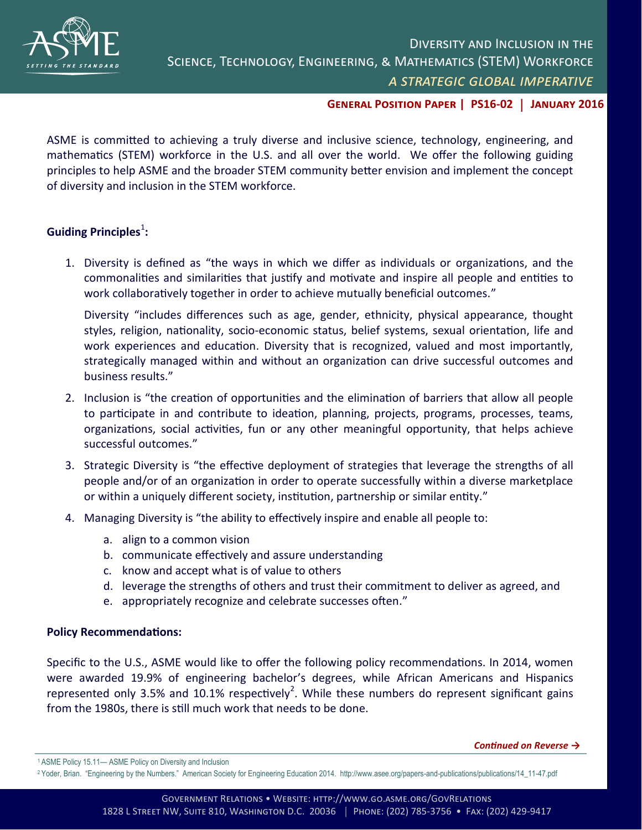

## **General Position Paper | PS16-02** | **January 2016**

ASME is committed to achieving a truly diverse and inclusive science, technology, engineering, and mathematics (STEM) workforce in the U.S. and all over the world. We offer the following guiding principles to help ASME and the broader STEM community better envision and implement the concept of diversity and inclusion in the STEM workforce.

## **Guiding Principles<sup>1</sup>:**

1. Diversity is defined as "the ways in which we differ as individuals or organizations, and the commonalities and similarities that justify and motivate and inspire all people and entities to work collaboratively together in order to achieve mutually beneficial outcomes."

Diversity "includes differences such as age, gender, ethnicity, physical appearance, thought styles, religion, nationality, socio-economic status, belief systems, sexual orientation, life and work experiences and education. Diversity that is recognized, valued and most importantly, strategically managed within and without an organization can drive successful outcomes and business results."

- 2. Inclusion is "the creation of opportunities and the elimination of barriers that allow all people to participate in and contribute to ideation, planning, projects, programs, processes, teams, organizations, social activities, fun or any other meaningful opportunity, that helps achieve successful outcomes."
- 3. Strategic Diversity is "the effective deployment of strategies that leverage the strengths of all people and/or of an organization in order to operate successfully within a diverse marketplace or within a uniquely different society, institution, partnership or similar entity."
- 4. Managing Diversity is "the ability to effectively inspire and enable all people to:
	- a. align to a common vision
	- b. communicate effectively and assure understanding
	- c. know and accept what is of value to others
	- d. leverage the strengths of others and trust their commitment to deliver as agreed, and
	- e. appropriately recognize and celebrate successes often."

## **Policy Recommendations:**

Specific to the U.S., ASME would like to offer the following policy recommendations. In 2014, women were awarded 19.9% of engineering bachelor's degrees, while African Americans and Hispanics represented only 3.5% and 10.1% respectively<sup>2</sup>. While these numbers do represent significant gains from the 1980s, there is still much work that needs to be done.

*Continued on Reverse →*

<sup>1</sup>ASME Policy 15.11— ASME Policy on Diversity and Inclusion

<sup>2</sup>Yoder, Brian. "Engineering by the Numbers." American Society for Engineering Education 2014. http://www.asee.org/papers-and-publications/publications/14\_11-47.pdf